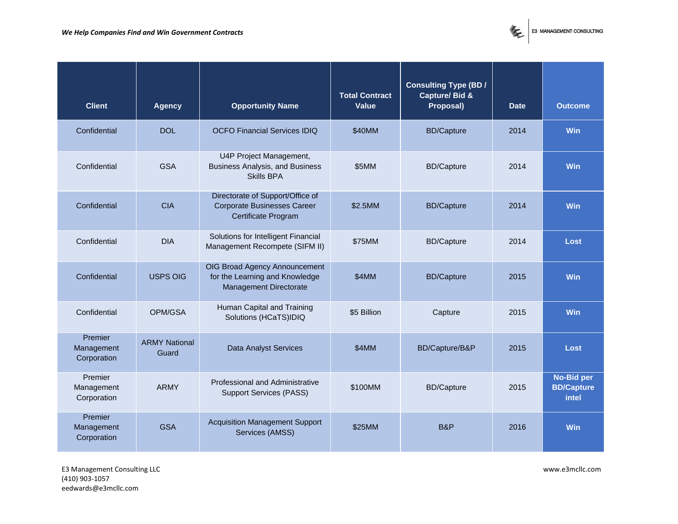

| <b>Client</b>                        | Agency                        | <b>Opportunity Name</b>                                                                       | <b>Total Contract</b><br>Value | Consulting Type (BD/<br>Capture/Bid &<br>Proposal) | Date | Outcome                                  |
|--------------------------------------|-------------------------------|-----------------------------------------------------------------------------------------------|--------------------------------|----------------------------------------------------|------|------------------------------------------|
| Confidential                         | <b>DOL</b>                    | <b>OCFO Financial Services IDIQ</b>                                                           | \$40MM                         | <b>BD/Capture</b>                                  | 2014 | Win                                      |
| Confidential                         | <b>GSA</b>                    | U4P Project Management,<br><b>Business Analysis, and Business</b><br><b>Skills BPA</b>        | \$5MM                          | <b>BD/Capture</b>                                  | 2014 | <b>Win</b>                               |
| Confidential                         | <b>CIA</b>                    | Directorate of Support/Office of<br><b>Corporate Businesses Career</b><br>Certificate Program | \$2.5MM                        | <b>BD/Capture</b>                                  | 2014 | Win                                      |
| Confidential                         | <b>DIA</b>                    | Solutions for Intelligent Financial<br>Management Recompete (SIFM II)                         | \$75MM                         | <b>BD/Capture</b>                                  | 2014 | Lost                                     |
| Confidential                         | <b>USPS OIG</b>               | OIG Broad Agency Announcement<br>for the Learning and Knowledge<br>Management Directorate     | \$4MM                          | <b>BD/Capture</b>                                  | 2015 | Win                                      |
| Confidential                         | OPM/GSA                       | Human Capital and Training<br>Solutions (HCaTS)IDIQ                                           | \$5 Billion                    | Capture                                            | 2015 | Win                                      |
| Premier<br>Management<br>Corporation | <b>ARMY National</b><br>Guard | <b>Data Analyst Services</b>                                                                  | \$4MM                          | BD/Capture/B&P                                     | 2015 | Lost                                     |
| Premier<br>Management<br>Corporation | <b>ARMY</b>                   | Professional and Administrative<br><b>Support Services (PASS)</b>                             | \$100MM                        | <b>BD/Capture</b>                                  | 2015 | No-Bid per<br><b>BD/Capture</b><br>intel |
| Premier<br>Management<br>Corporation | <b>GSA</b>                    | <b>Acquisition Management Support</b><br>Services (AMSS)                                      | \$25MM                         | <b>B&amp;P</b>                                     | 2016 | Win                                      |

E3 Management Consulting LLC www.e3mcllc.com (410) 903-1057 eedwards@e3mcllc.com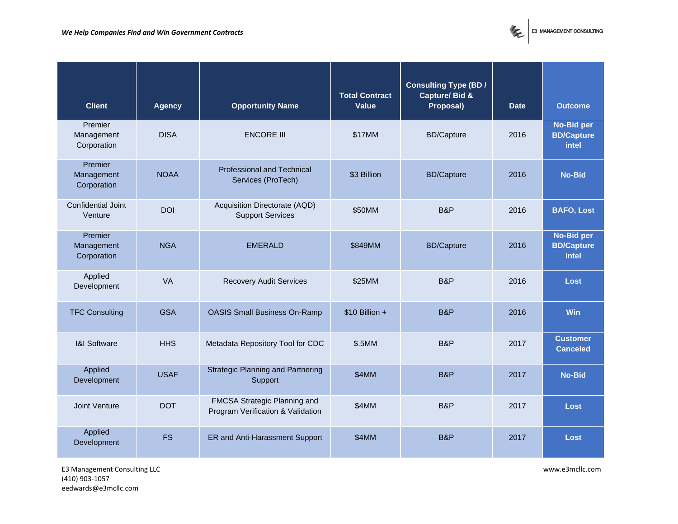

| <b>Client</b>                        | Agency      | <b>Opportunity Name</b>                                           | <b>Total Contract</b><br>Value | Consulting Type (BD/<br>Capture/ Bid &<br>Proposal) | Date | Outcome                                  |
|--------------------------------------|-------------|-------------------------------------------------------------------|--------------------------------|-----------------------------------------------------|------|------------------------------------------|
| Premier<br>Management<br>Corporation | <b>DISA</b> | <b>ENCORE III</b>                                                 | \$17MM                         | <b>BD/Capture</b>                                   | 2016 | No-Bid per<br><b>BD/Capture</b><br>intel |
| Premier<br>Management<br>Corporation | <b>NOAA</b> | Professional and Technical<br>Services (ProTech)                  | \$3 Billion                    | <b>BD/Capture</b>                                   | 2016 | No-Bid                                   |
| Confidential Joint<br>Venture        | <b>DOI</b>  | Acquisition Directorate (AQD)<br><b>Support Services</b>          | \$50MM                         | B&P                                                 | 2016 | <b>BAFO, Lost</b>                        |
| Premier<br>Management<br>Corporation | <b>NGA</b>  | <b>EMERALD</b>                                                    | \$849MM                        | <b>BD/Capture</b>                                   | 2016 | No-Bid per<br><b>BD/Capture</b><br>intel |
| Applied<br>Development               | VA          | <b>Recovery Audit Services</b>                                    | \$25MM                         | B&P                                                 | 2016 | Lost                                     |
| <b>TFC Consulting</b>                | <b>GSA</b>  | <b>OASIS Small Business On-Ramp</b>                               | $$10$ Billion +                | B&P                                                 | 2016 | Win                                      |
| <b>I&amp;I Software</b>              | <b>HHS</b>  | Metadata Repository Tool for CDC                                  | \$.5MM                         | B&P                                                 | 2017 | <b>Customer</b><br>Canceled              |
| Applied<br>Development               | <b>USAF</b> | <b>Strategic Planning and Partnering</b><br>Support               | \$4MM                          | B&P                                                 | 2017 | No-Bid                                   |
| Joint Venture                        | <b>DOT</b>  | FMCSA Strategic Planning and<br>Program Verification & Validation | \$4MM                          | B&P                                                 | 2017 | Lost                                     |
| Applied<br>Development               | <b>FS</b>   | ER and Anti-Harassment Support                                    | \$4MM                          | B&P                                                 | 2017 | Lost                                     |

E3 Management Consulting LLC www.e3mcllc.com (410) 903-1057 eedwards@e3mcllc.com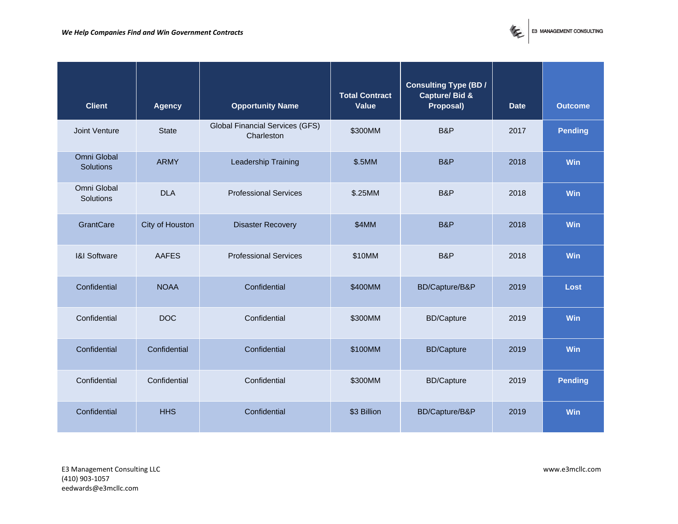

| Client                          | Agency          | <b>Opportunity Name</b>                              | <b>Total Contract</b><br>Value | Consulting Type (BD/<br>Capture/Bid &<br>Proposal) | Date | Outcome |
|---------------------------------|-----------------|------------------------------------------------------|--------------------------------|----------------------------------------------------|------|---------|
| Joint Venture                   | <b>State</b>    | <b>Global Financial Services (GFS)</b><br>Charleston | \$300MM                        | B&P                                                | 2017 | Pending |
| Omni Global<br><b>Solutions</b> | <b>ARMY</b>     | Leadership Training                                  | \$.5MM                         | B&P                                                | 2018 | Win     |
| Omni Global<br>Solutions        | <b>DLA</b>      | <b>Professional Services</b>                         | \$.25MM                        | B&P                                                | 2018 | Win     |
| <b>GrantCare</b>                | City of Houston | <b>Disaster Recovery</b>                             | \$4MM                          | B&P                                                | 2018 | Win     |
| <b>I&amp;I Software</b>         | <b>AAFES</b>    | <b>Professional Services</b>                         | \$10MM                         | B&P                                                | 2018 | Win     |
| Confidential                    | <b>NOAA</b>     | Confidential                                         | \$400MM                        | BD/Capture/B&P                                     | 2019 | Lost    |
| Confidential                    | <b>DOC</b>      | Confidential                                         | \$300MM                        | <b>BD/Capture</b>                                  | 2019 | Win     |
| Confidential                    | Confidential    | Confidential                                         | \$100MM                        | <b>BD/Capture</b>                                  | 2019 | Win     |
| Confidential                    | Confidential    | Confidential                                         | \$300MM                        | <b>BD/Capture</b>                                  | 2019 | Pending |
| Confidential                    | <b>HHS</b>      | Confidential                                         | \$3 Billion                    | BD/Capture/B&P                                     | 2019 | Win     |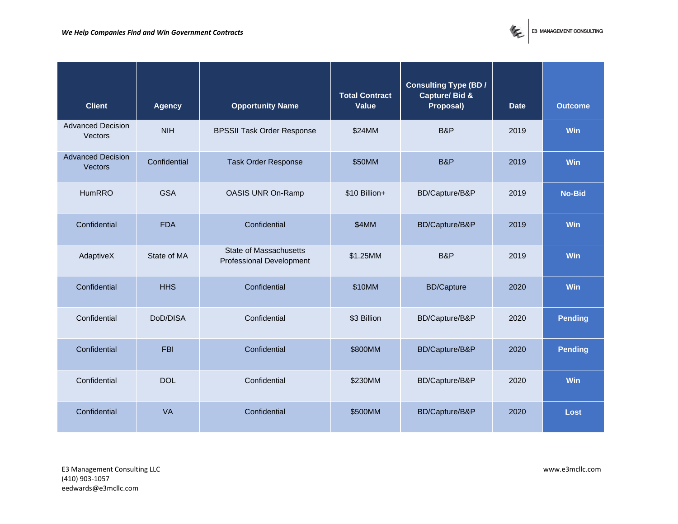

| Client                                     | Agency       | <b>Opportunity Name</b>                                          | <b>Total Contract</b><br>Value | Consulting Type (BD/<br>Capture/Bid &<br>Proposal) | Date | Outcome |
|--------------------------------------------|--------------|------------------------------------------------------------------|--------------------------------|----------------------------------------------------|------|---------|
| <b>Advanced Decision</b><br>Vectors        | <b>NIH</b>   | <b>BPSSII Task Order Response</b>                                | \$24MM                         | B&P                                                | 2019 | Win     |
| <b>Advanced Decision</b><br><b>Vectors</b> | Confidential | <b>Task Order Response</b>                                       | \$50MM                         | B&P                                                | 2019 | Win     |
| <b>HumRRO</b>                              | <b>GSA</b>   | OASIS UNR On-Ramp                                                | \$10 Billion+                  | BD/Capture/B&P                                     | 2019 | No-Bid  |
| Confidential                               | <b>FDA</b>   | Confidential                                                     | \$4MM                          | BD/Capture/B&P                                     | 2019 | Win     |
| AdaptiveX                                  | State of MA  | <b>State of Massachusetts</b><br><b>Professional Development</b> | \$1.25MM                       | B&P                                                | 2019 | Win     |
| Confidential                               | <b>HHS</b>   | Confidential                                                     | \$10MM                         | <b>BD/Capture</b>                                  | 2020 | Win     |
| Confidential                               | DoD/DISA     | Confidential                                                     | \$3 Billion                    | BD/Capture/B&P                                     | 2020 | Pending |
| Confidential                               | <b>FBI</b>   | Confidential                                                     | \$800MM                        | BD/Capture/B&P                                     | 2020 | Pending |
| Confidential                               | <b>DOL</b>   | Confidential                                                     | \$230MM                        | BD/Capture/B&P                                     | 2020 | Win     |
| Confidential                               | VA           | Confidential                                                     | \$500MM                        | BD/Capture/B&P                                     | 2020 | Lost    |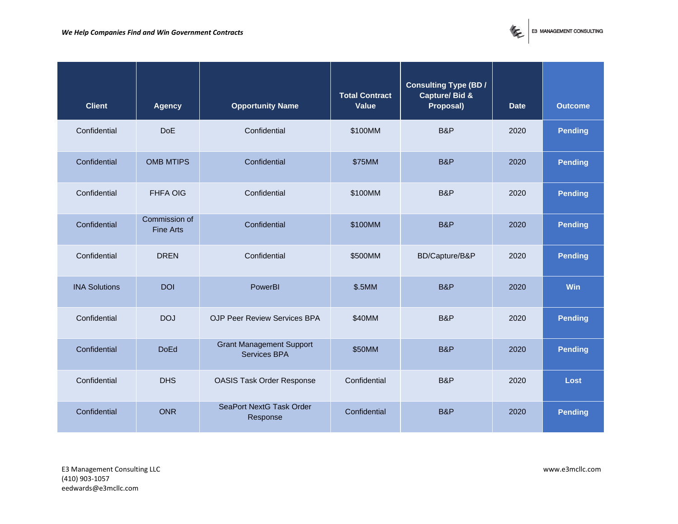

| Client               | Agency                            | <b>Opportunity Name</b>                                | <b>Total Contract</b><br>Value | Consulting Type (BD/<br>Capture/ Bid &<br>Proposal) | Date | Outcome |
|----------------------|-----------------------------------|--------------------------------------------------------|--------------------------------|-----------------------------------------------------|------|---------|
| Confidential         | <b>DoE</b>                        | Confidential                                           | \$100MM                        | B&P                                                 | 2020 | Pending |
| Confidential         | <b>OMB MTIPS</b>                  | Confidential                                           | \$75MM                         | <b>B&amp;P</b>                                      | 2020 | Pending |
| Confidential         | <b>FHFA OIG</b>                   | Confidential                                           | \$100MM                        | B&P                                                 | 2020 | Pending |
| Confidential         | Commission of<br><b>Fine Arts</b> | Confidential                                           | \$100MM                        | B&P                                                 | 2020 | Pending |
| Confidential         | <b>DREN</b>                       | Confidential                                           | \$500MM                        | BD/Capture/B&P                                      | 2020 | Pending |
| <b>INA Solutions</b> | <b>DOI</b>                        | PowerBI                                                | \$.5MM                         | B&P                                                 | 2020 | Win     |
| Confidential         | <b>DOJ</b>                        | OJP Peer Review Services BPA                           | \$40MM                         | B&P                                                 | 2020 | Pending |
| Confidential         | <b>DoEd</b>                       | <b>Grant Management Support</b><br><b>Services BPA</b> | \$50MM                         | <b>B&amp;P</b>                                      | 2020 | Pending |
| Confidential         | <b>DHS</b>                        | <b>OASIS Task Order Response</b>                       | Confidential                   | B&P                                                 | 2020 | Lost    |
| Confidential         | <b>ONR</b>                        | SeaPort NextG Task Order<br>Response                   | Confidential                   | B&P                                                 | 2020 | Pending |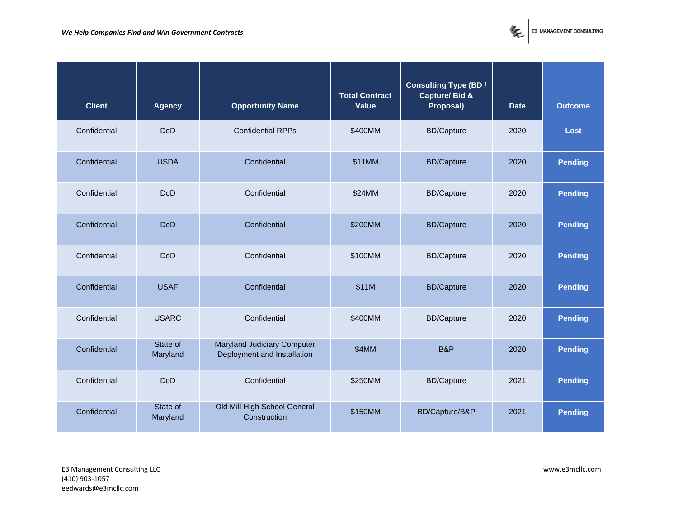

| Client       | Agency               | <b>Opportunity Name</b>                                           | <b>Total Contract</b><br>Value | Consulting Type (BD/<br>Capture/Bid &<br>Proposal) | Date | Outcome |
|--------------|----------------------|-------------------------------------------------------------------|--------------------------------|----------------------------------------------------|------|---------|
| Confidential | <b>DoD</b>           | <b>Confidential RPPs</b>                                          | \$400MM                        | <b>BD/Capture</b>                                  | 2020 | Lost    |
| Confidential | <b>USDA</b>          | Confidential                                                      | \$11MM                         | <b>BD/Capture</b>                                  | 2020 | Pending |
| Confidential | <b>DoD</b>           | Confidential                                                      | \$24MM                         | <b>BD/Capture</b>                                  | 2020 | Pending |
| Confidential | <b>DoD</b>           | Confidential                                                      | \$200MM                        | <b>BD/Capture</b>                                  | 2020 | Pending |
| Confidential | <b>DoD</b>           | Confidential                                                      | \$100MM                        | <b>BD/Capture</b>                                  | 2020 | Pending |
| Confidential | <b>USAF</b>          | Confidential                                                      | \$11M                          | <b>BD/Capture</b>                                  | 2020 | Pending |
| Confidential | <b>USARC</b>         | Confidential                                                      | \$400MM                        | <b>BD/Capture</b>                                  | 2020 | Pending |
| Confidential | State of<br>Maryland | <b>Maryland Judiciary Computer</b><br>Deployment and Installation | \$4MM                          | B&P                                                | 2020 | Pending |
| Confidential | <b>DoD</b>           | Confidential                                                      | \$250MM                        | <b>BD/Capture</b>                                  | 2021 | Pending |
| Confidential | State of<br>Maryland | Old Mill High School General<br>Construction                      | \$150MM                        | BD/Capture/B&P                                     | 2021 | Pending |

E3 Management Consulting LLC www.e3mcllc.com (410) 903-1057 eedwards@e3mcllc.com